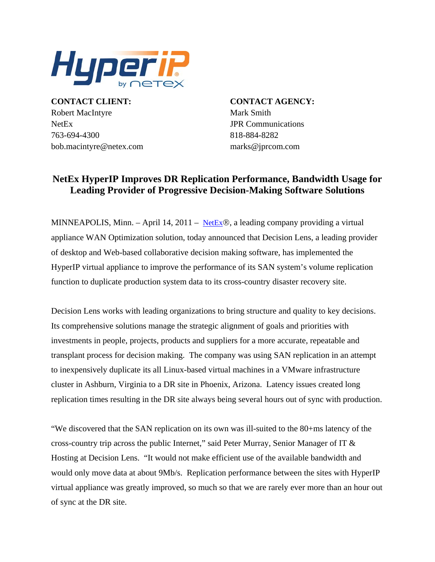

**CONTACT CLIENT: CONTACT AGENCY:** Robert MacIntyre Mark Smith NetEx JPR Communications 763-694-4300 818-884-8282 bob.macintyre@netex.com marks@jprcom.com

## **NetEx HyperIP Improves DR Replication Performance, Bandwidth Usage for Leading Provider of Progressive Decision-Making Software Solutions**

MINNEAPOLIS, Minn. – April 14, 2011 – [NetEx](http://www.netex.com/)®, a leading company providing a virtual appliance WAN Optimization solution, today announced that Decision Lens, a leading provider of desktop and Web-based collaborative decision making software, has implemented the HyperIP virtual appliance to improve the performance of its SAN system's volume replication function to duplicate production system data to its cross-country disaster recovery site.

Decision Lens works with leading organizations to bring structure and quality to key decisions. Its comprehensive solutions manage the strategic alignment of goals and priorities with investments in people, projects, products and suppliers for a more accurate, repeatable and transplant process for decision making. The company was using SAN replication in an attempt to inexpensively duplicate its all Linux-based virtual machines in a VMware infrastructure cluster in Ashburn, Virginia to a DR site in Phoenix, Arizona. Latency issues created long replication times resulting in the DR site always being several hours out of sync with production.

"We discovered that the SAN replication on its own was ill-suited to the 80+ms latency of the cross-country trip across the public Internet," said Peter Murray, Senior Manager of IT & Hosting at Decision Lens. "It would not make efficient use of the available bandwidth and would only move data at about 9Mb/s. Replication performance between the sites with HyperIP virtual appliance was greatly improved, so much so that we are rarely ever more than an hour out of sync at the DR site.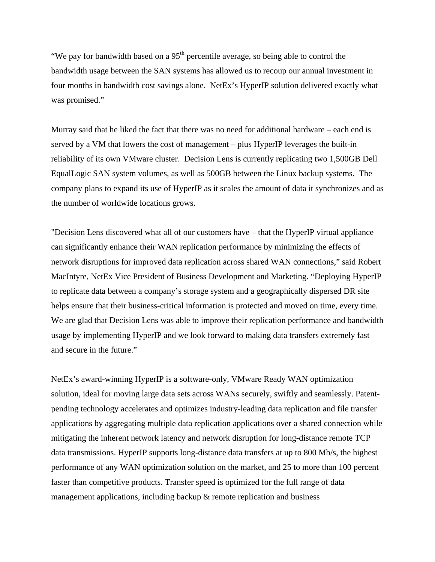"We pay for bandwidth based on a  $95<sup>th</sup>$  percentile average, so being able to control the bandwidth usage between the SAN systems has allowed us to recoup our annual investment in four months in bandwidth cost savings alone. NetEx's HyperIP solution delivered exactly what was promised."

Murray said that he liked the fact that there was no need for additional hardware – each end is served by a VM that lowers the cost of management – plus HyperIP leverages the built-in reliability of its own VMware cluster. Decision Lens is currently replicating two 1,500GB Dell EqualLogic SAN system volumes, as well as 500GB between the Linux backup systems. The company plans to expand its use of HyperIP as it scales the amount of data it synchronizes and as the number of worldwide locations grows.

"Decision Lens discovered what all of our customers have – that the HyperIP virtual appliance can significantly enhance their WAN replication performance by minimizing the effects of network disruptions for improved data replication across shared WAN connections," said Robert MacIntyre, NetEx Vice President of Business Development and Marketing. "Deploying HyperIP to replicate data between a company's storage system and a geographically dispersed DR site helps ensure that their business-critical information is protected and moved on time, every time. We are glad that Decision Lens was able to improve their replication performance and bandwidth usage by implementing HyperIP and we look forward to making data transfers extremely fast and secure in the future."

NetEx's award-winning HyperIP is a software-only, VMware Ready WAN optimization solution, ideal for moving large data sets across WANs securely, swiftly and seamlessly. Patentpending technology accelerates and optimizes industry-leading data replication and file transfer applications by aggregating multiple data replication applications over a shared connection while mitigating the inherent network latency and network disruption for long-distance remote TCP data transmissions. HyperIP supports long-distance data transfers at up to 800 Mb/s, the highest performance of any WAN optimization solution on the market, and 25 to more than 100 percent faster than competitive products. Transfer speed is optimized for the full range of data management applications, including backup & remote replication and business